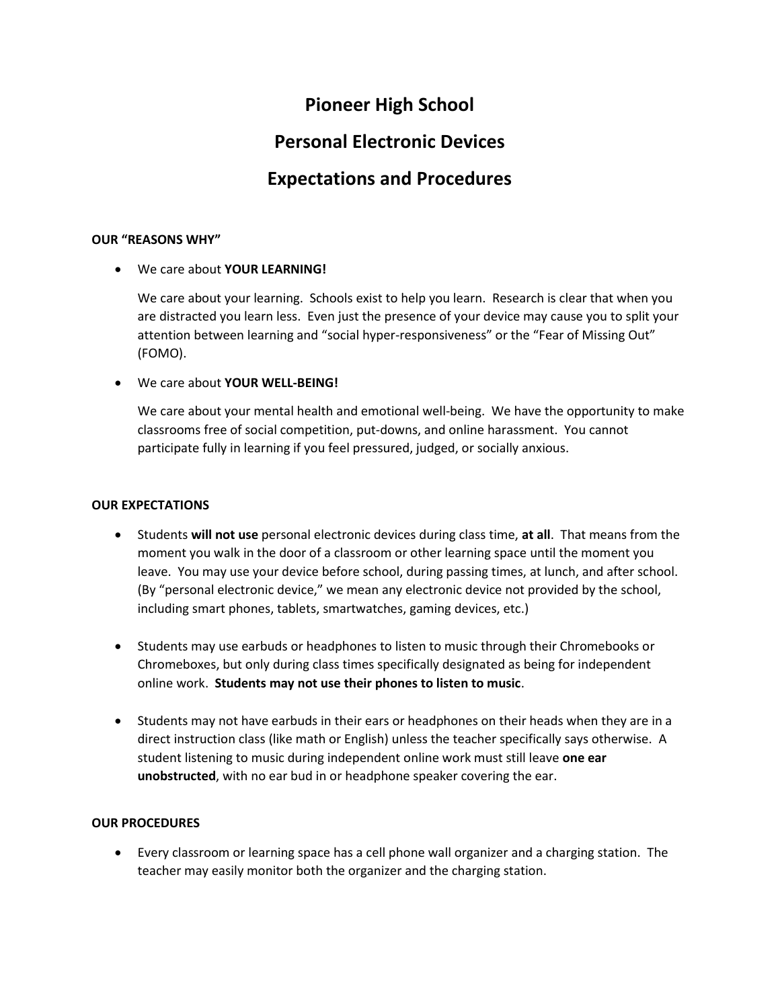# **Pioneer High School**

# **Personal Electronic Devices**

# **Expectations and Procedures**

### **OUR "REASONS WHY"**

We care about **YOUR LEARNING!**

We care about your learning. Schools exist to help you learn. Research is clear that when you are distracted you learn less. Even just the presence of your device may cause you to split your attention between learning and "social hyper-responsiveness" or the "Fear of Missing Out" (FOMO).

### We care about **YOUR WELL-BEING!**

We care about your mental health and emotional well-being. We have the opportunity to make classrooms free of social competition, put-downs, and online harassment. You cannot participate fully in learning if you feel pressured, judged, or socially anxious.

#### **OUR EXPECTATIONS**

- Students **will not use** personal electronic devices during class time, **at all**. That means from the moment you walk in the door of a classroom or other learning space until the moment you leave. You may use your device before school, during passing times, at lunch, and after school. (By "personal electronic device," we mean any electronic device not provided by the school, including smart phones, tablets, smartwatches, gaming devices, etc.)
- Students may use earbuds or headphones to listen to music through their Chromebooks or Chromeboxes, but only during class times specifically designated as being for independent online work. **Students may not use their phones to listen to music**.
- Students may not have earbuds in their ears or headphones on their heads when they are in a direct instruction class (like math or English) unless the teacher specifically says otherwise. A student listening to music during independent online work must still leave **one ear unobstructed**, with no ear bud in or headphone speaker covering the ear.

#### **OUR PROCEDURES**

 Every classroom or learning space has a cell phone wall organizer and a charging station. The teacher may easily monitor both the organizer and the charging station.